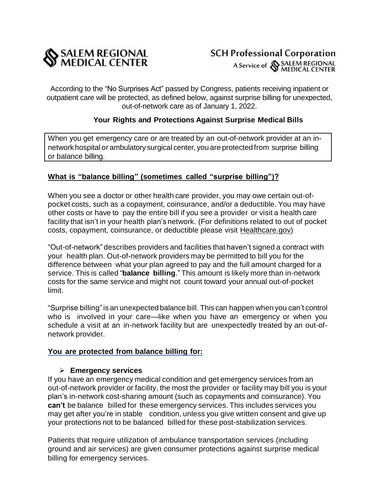

According to the "No Surprises Act" passed by Congress, patients receiving inpatient or outpatient care will be protected, as defined below, against surprise billing for unexpected, out-of-network care as of January 1, 2022.

# **Your Rights and Protections Against Surprise Medical Bills**

When you get emergency care or are treated by an out-of-network provider at an innetwork hospital or ambulatory surgical center, you are protectedfrom surprise billing or balance billing.

### **What is "balance billing" (sometimes called "surprise billing")?**

When you see a doctor or other health care provider, you may owe certain out-ofpocket costs, such as a copayment, coinsurance, and/or a deductible. You may have other costs or have to pay the entire bill if you see a provider or visit a health care facility that isn't in your health plan's network. (For definitions related to out of pocket costs, copayment, coinsurance, or deductible please visit Healthcare.gov)

"Out-of-network" describes providers and facilities that haven't signed a contract with your health plan. Out-of-network providers may be permitted to bill you for the difference between what your plan agreed to pay and the full amount charged for a service. This is called "**balance billing**." This amount is likely more than in-network costs for the same service and might not count toward your annual out-of-pocket limit.

"Surprise billing"is an unexpected balance bill. This can happen when you can't control who is involved in your care—like when you have an emergency or when you schedule a visit at an in-network facility but are unexpectedly treated by an out-ofnetwork provider.

#### **You are protected from balance billing for:**

#### **Emergency services**

If you have an emergency medical condition and get emergency services from an out-of-network provider or facility, the most the provider or facility may bill you is your plan's in-network cost-sharing amount (such as copayments and coinsurance). You **can't** be balance billed for these emergency services. This includes services you may get after you're in stable condition, unless you give written consent and give up your protections not to be balanced billed for these post-stabilization services.

Patients that require utilization of ambulance transportation services (including ground and air services) are given consumer protections against surprise medical billing for emergency services.